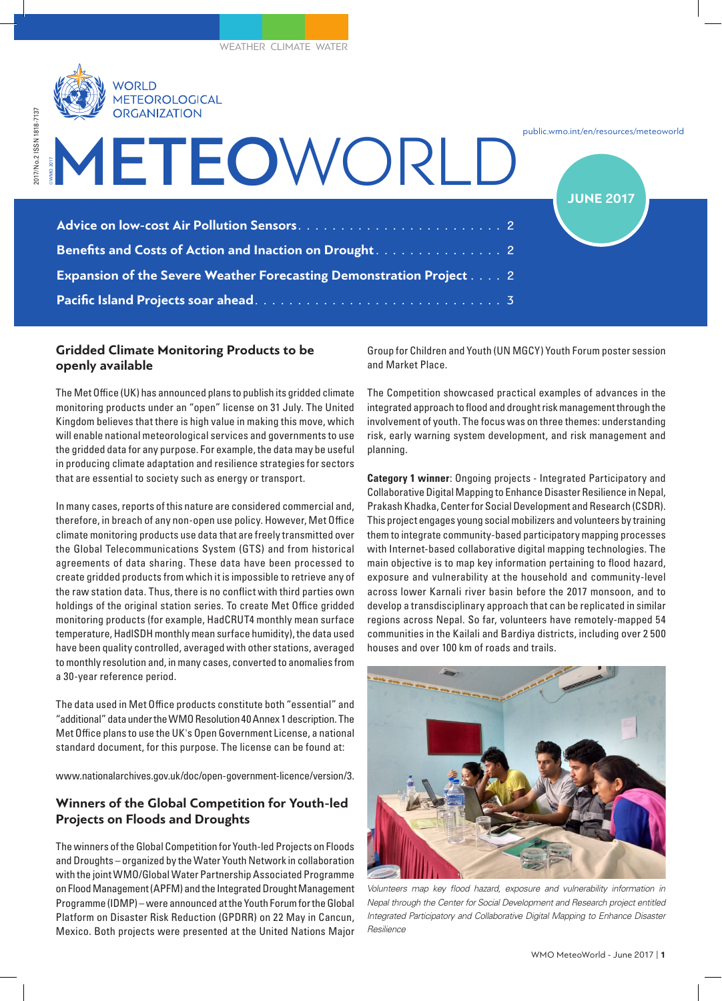

| METEOWORLD                                                                 | public.wmo.int/en/resources/meteowo<br><b>JUNE 2017</b> |
|----------------------------------------------------------------------------|---------------------------------------------------------|
|                                                                            |                                                         |
|                                                                            |                                                         |
| <b>Expansion of the Severe Weather Forecasting Demonstration Project 2</b> |                                                         |
|                                                                            |                                                         |

## **Gridded Climate Monitoring Products to be openly available**

The Met Office (UK) has announced plans to publish its gridded climate monitoring products under an "open" license on 31 July. The United Kingdom believes that there is high value in making this move, which will enable national meteorological services and governments to use the gridded data for any purpose. For example, the data may be useful in producing climate adaptation and resilience strategies for sectors that are essential to society such as energy or transport.

In many cases, reports of this nature are considered commercial and, therefore, in breach of any non-open use policy. However, Met Office climate monitoring products use data that are freely transmitted over the Global Telecommunications System (GTS) and from historical agreements of data sharing. These data have been processed to create gridded products from which it is impossible to retrieve any of the raw station data. Thus, there is no conflict with third parties own holdings of the original station series. To create Met Office gridded monitoring products (for example, HadCRUT4 monthly mean surface temperature, HadlSDH monthly mean surface humidity), the data used have been quality controlled, averaged with other stations, averaged to monthly resolution and, in many cases, converted to anomalies from a 30-year reference period.

The data used in Met Office products constitute both "essential" and "additional" data under the WMO Resolution 40 Annex 1 description. The Met Office plans to use the UK's Open Government License, a national standard document, for this purpose. The license can be found at:

www.nationalarchives.gov.uk/doc/open-government-licence/version/3.

# **Winners of the Global Competition for Youth-led Projects on Floods and Droughts**

The winners of the Global Competition for Youth-led Projects on Floods and Droughts – organized by the Water Youth Network in collaboration with the joint WMO/Global Water Partnership Associated Programme on Flood Management (APFM) and the Integrated Drought Management Programme (IDMP) – were announced at the Youth Forum for the Global Platform on Disaster Risk Reduction (GPDRR) on 22 May in Cancun, Mexico. Both projects were presented at the United Nations Major

Group for Children and Youth (UN MGCY) Youth Forum poster session and Market Place.

public.wmo.int/en/resources/meteoworld

The Competition showcased practical examples of advances in the integrated approach to flood and drought risk management through the involvement of youth. The focus was on three themes: understanding risk, early warning system development, and risk management and planning.

**Category 1 winner**: Ongoing projects - Integrated Participatory and Collaborative Digital Mapping to Enhance Disaster Resilience in Nepal, Prakash Khadka, Center for Social Development and Research (CSDR). This project engages young social mobilizers and volunteers by training them to integrate community-based participatory mapping processes with Internet-based collaborative digital mapping technologies. The main objective is to map key information pertaining to flood hazard, exposure and vulnerability at the household and community-level across lower Karnali river basin before the 2017 monsoon, and to develop a transdisciplinary approach that can be replicated in similar regions across Nepal. So far, volunteers have remotely-mapped 54 communities in the Kailali and Bardiya districts, including over 2 500 houses and over 100 km of roads and trails.



*Volunteers map key flood hazard, exposure and vulnerability information in Nepal through the Center for Social Development and Research project entitled Integrated Participatory and Collaborative Digital Mapping to Enhance Disaster Resilience*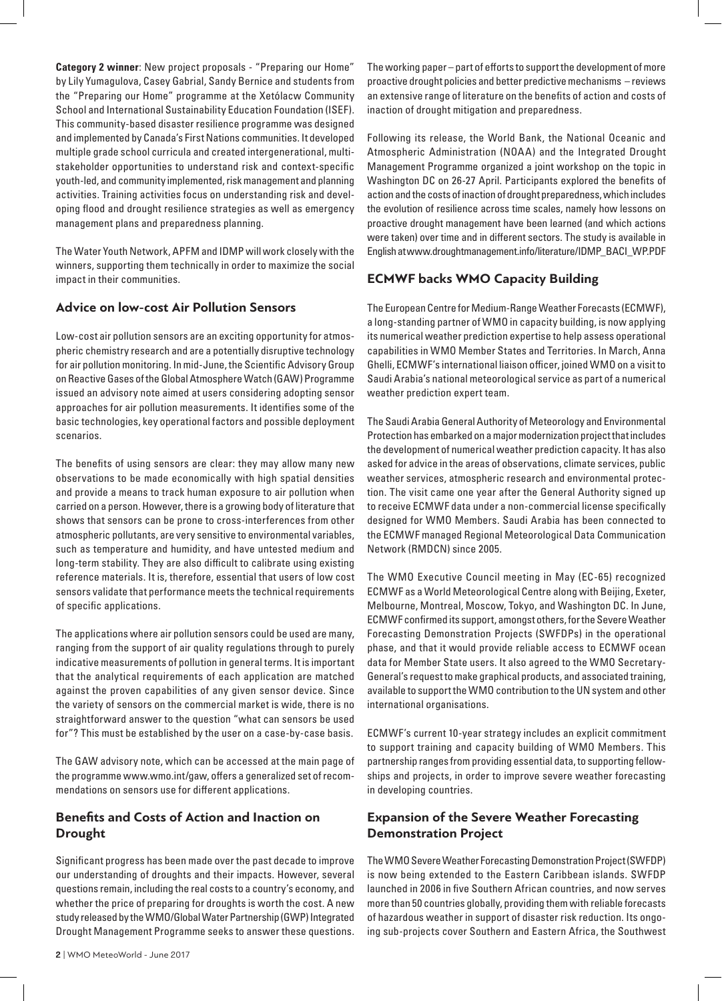**Category 2 winner**: New project proposals - "Preparing our Home" by Lily Yumagulova, Casey Gabrial, Sandy Bernice and students from the "Preparing our Home" programme at the Xetólacw Community School and International Sustainability Education Foundation (ISEF). This community-based disaster resilience programme was designed and implemented by Canada's First Nations communities. It developed multiple grade school curricula and created intergenerational, multistakeholder opportunities to understand risk and context-specific youth-led, and community implemented, risk management and planning activities. Training activities focus on understanding risk and developing flood and drought resilience strategies as well as emergency management plans and preparedness planning.

The Water Youth Network, APFM and IDMP will work closely with the winners, supporting them technically in order to maximize the social impact in their communities.

### **Advice on low-cost Air Pollution Sensors**

Low-cost air pollution sensors are an exciting opportunity for atmospheric chemistry research and are a potentially disruptive technology for air pollution monitoring. In mid-June, the Scientific Advisory Group on Reactive Gases of the Global Atmosphere Watch (GAW) Programme issued an advisory note aimed at users considering adopting sensor approaches for air pollution measurements. It identifies some of the basic technologies, key operational factors and possible deployment scenarios.

The benefits of using sensors are clear: they may allow many new observations to be made economically with high spatial densities and provide a means to track human exposure to air pollution when carried on a person. However, there is a growing body of literature that shows that sensors can be prone to cross-interferences from other atmospheric pollutants, are very sensitive to environmental variables, such as temperature and humidity, and have untested medium and long-term stability. They are also difficult to calibrate using existing reference materials. It is, therefore, essential that users of low cost sensors validate that performance meets the technical requirements of specific applications.

The applications where air pollution sensors could be used are many, ranging from the support of air quality regulations through to purely indicative measurements of pollution in general terms. It is important that the analytical requirements of each application are matched against the proven capabilities of any given sensor device. Since the variety of sensors on the commercial market is wide, there is no straightforward answer to the question "what can sensors be used for"? This must be established by the user on a case-by-case basis.

The GAW advisory note, which can be accessed at the main page of the programme www.wmo.int/gaw, offers a generalized set of recommendations on sensors use for different applications.

# **Benefits and Costs of Action and Inaction on Drought**

Significant progress has been made over the past decade to improve our understanding of droughts and their impacts. However, several questions remain, including the real costs to a country's economy, and whether the price of preparing for droughts is worth the cost. A new study released by the WMO/Global Water Partnership (GWP) Integrated Drought Management Programme seeks to answer these questions.

The working paper – part of efforts to support the development of more proactive drought policies and better predictive mechanisms – reviews an extensive range of literature on the benefits of action and costs of inaction of drought mitigation and preparedness.

Following its release, the World Bank, the National Oceanic and Atmospheric Administration (NOAA) and the Integrated Drought Management Programme organized a joint workshop on the topic in Washington DC on 26-27 April. Participants explored the benefits of action and the costs of inaction of drought preparedness, which includes the evolution of resilience across time scales, namely how lessons on proactive drought management have been learned (and which actions were taken) over time and in different sectors. The study is available in English at www.droughtmanagement.info/literature/IDMP\_BACI\_WP.PDF

# **ECMWF backs WMO Capacity Building**

The European Centre for Medium-Range Weather Forecasts (ECMWF), a long-standing partner of WMO in capacity building, is now applying its numerical weather prediction expertise to help assess operational capabilities in WMO Member States and Territories. In March, Anna Ghelli, ECMWF's international liaison officer, joined WMO on a visit to Saudi Arabia's national meteorological service as part of a numerical weather prediction expert team.

The Saudi Arabia General Authority of Meteorology and Environmental Protection has embarked on a major modernization project that includes the development of numerical weather prediction capacity. It has also asked for advice in the areas of observations, climate services, public weather services, atmospheric research and environmental protection. The visit came one year after the General Authority signed up to receive ECMWF data under a non-commercial license specifically designed for WMO Members. Saudi Arabia has been connected to the ECMWF managed Regional Meteorological Data Communication Network (RMDCN) since 2005.

The WMO Executive Council meeting in May (EC-65) recognized ECMWF as a World Meteorological Centre along with Beijing, Exeter, Melbourne, Montreal, Moscow, Tokyo, and Washington DC. In June, ECMWF confirmed its support, amongst others, for the Severe Weather Forecasting Demonstration Projects (SWFDPs) in the operational phase, and that it would provide reliable access to ECMWF ocean data for Member State users. It also agreed to the WMO Secretary-General's request to make graphical products, and associated training, available to support the WMO contribution to the UN system and other international organisations.

ECMWF's current 10-year strategy includes an explicit commitment to support training and capacity building of WMO Members. This partnership ranges from providing essential data, to supporting fellowships and projects, in order to improve severe weather forecasting in developing countries.

# **Expansion of the Severe Weather Forecasting Demonstration Project**

The WMO Severe Weather Forecasting Demonstration Project (SWFDP) is now being extended to the Eastern Caribbean islands. SWFDP launched in 2006 in five Southern African countries, and now serves more than 50 countries globally, providing them with reliable forecasts of hazardous weather in support of disaster risk reduction. Its ongoing sub-projects cover Southern and Eastern Africa, the Southwest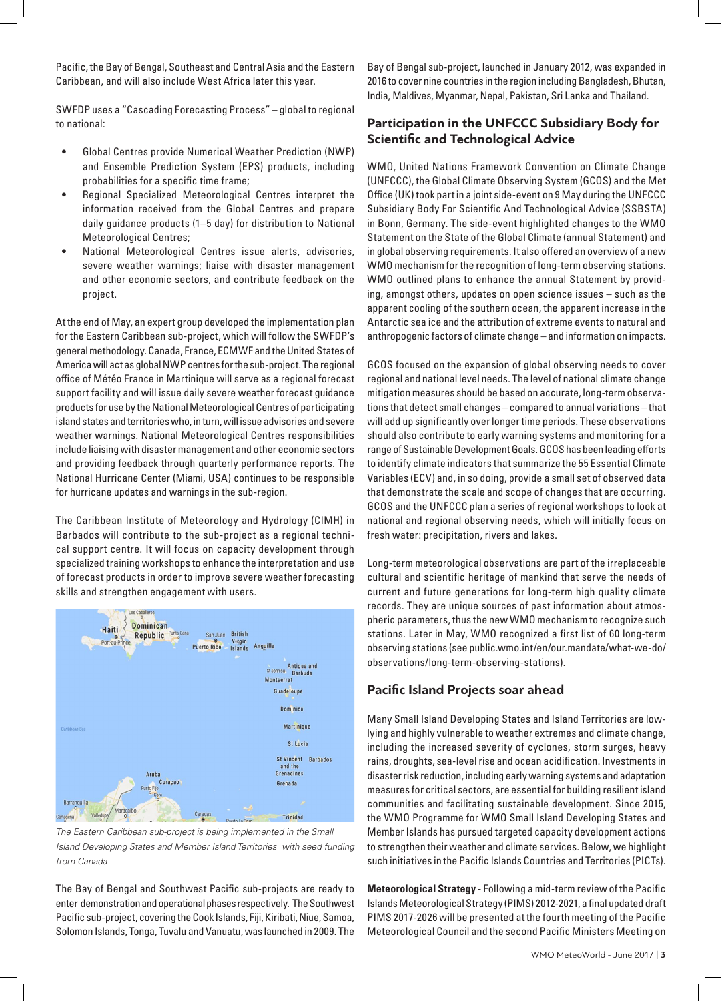Pacific, the Bay of Bengal, Southeast and Central Asia and the Eastern Caribbean, and will also include West Africa later this year.

SWFDP uses a "Cascading Forecasting Process" – global to regional to national:

- Global Centres provide Numerical Weather Prediction (NWP) and Ensemble Prediction System (EPS) products, including probabilities for a specific time frame;
- Regional Specialized Meteorological Centres interpret the information received from the Global Centres and prepare daily guidance products (1–5 day) for distribution to National Meteorological Centres;
- National Meteorological Centres issue alerts, advisories, severe weather warnings; liaise with disaster management and other economic sectors, and contribute feedback on the project.

At the end of May, an expert group developed the implementation plan for the Eastern Caribbean sub-project, which will follow the SWFDP's general methodology. Canada, France, ECMWF and the United States of America will act as global NWP centres for the sub-project. The regional office of Météo France in Martinique will serve as a regional forecast support facility and will issue daily severe weather forecast guidance products for use by the National Meteorological Centres of participating island states and territories who, in turn, will issue advisories and severe weather warnings. National Meteorological Centres responsibilities include liaising with disaster management and other economic sectors and providing feedback through quarterly performance reports. The National Hurricane Center (Miami, USA) continues to be responsible for hurricane updates and warnings in the sub-region.

The Caribbean Institute of Meteorology and Hydrology (CIMH) in Barbados will contribute to the sub-project as a regional technical support centre. It will focus on capacity development through specialized training workshops to enhance the interpretation and use of forecast products in order to improve severe weather forecasting skills and strengthen engagement with users.



*The Eastern Caribbean sub-project is being implemented in the Small Island Developing States and Member Island Territories with seed funding from Canada*

The Bay of Bengal and Southwest Pacific sub-projects are ready to enter demonstration and operational phases respectively. The Southwest Pacific sub-project, covering the Cook Islands, Fiji, Kiribati, Niue, Samoa, Solomon Islands, Tonga, Tuvalu and Vanuatu, was launched in 2009. The Bay of Bengal sub-project, launched in January 2012, was expanded in 2016 to cover nine countries in the region including Bangladesh, Bhutan, India, Maldives, Myanmar, Nepal, Pakistan, Sri Lanka and Thailand.

## **Participation in the UNFCCC Subsidiary Body for Scientific and Technological Advice**

WMO, United Nations Framework Convention on Climate Change (UNFCCC), the Global Climate Observing System (GCOS) and the Met Office (UK) took part in a joint side-event on 9 May during the UNFCCC Subsidiary Body For Scientific And Technological Advice (SSBSTA) in Bonn, Germany. The side-event highlighted changes to the WMO Statement on the State of the Global Climate (annual Statement) and in global observing requirements. It also offered an overview of a new WMO mechanism for the recognition of long-term observing stations. WMO outlined plans to enhance the annual Statement by providing, amongst others, updates on open science issues – such as the apparent cooling of the southern ocean, the apparent increase in the Antarctic sea ice and the attribution of extreme events to natural and anthropogenic factors of climate change – and information on impacts.

GCOS focused on the expansion of global observing needs to cover regional and national level needs. The level of national climate change mitigation measures should be based on accurate, long-term observations that detect small changes – compared to annual variations – that will add up significantly over longer time periods. These observations should also contribute to early warning systems and monitoring for a range of Sustainable Development Goals. GCOS has been leading efforts to identify climate indicators that summarize the 55 Essential Climate Variables (ECV) and, in so doing, provide a small set of observed data that demonstrate the scale and scope of changes that are occurring. GCOS and the UNFCCC plan a series of regional workshops to look at national and regional observing needs, which will initially focus on fresh water: precipitation, rivers and lakes.

Long-term meteorological observations are part of the irreplaceable cultural and scientific heritage of mankind that serve the needs of current and future generations for long-term high quality climate records. They are unique sources of past information about atmospheric parameters, thus the new WMO mechanism to recognize such stations. Later in May, WMO recognized a first list of 60 long-term observing stations (see public.wmo.int/en/our.mandate/what-we-do/ observations/long-term-observing-stations).

### **Pacific Island Projects soar ahead**

Many Small Island Developing States and Island Territories are lowlying and highly vulnerable to weather extremes and climate change, including the increased severity of cyclones, storm surges, heavy rains, droughts, sea-level rise and ocean acidification. Investments in disaster risk reduction, including early warning systems and adaptation measures for critical sectors, are essential for building resilient island communities and facilitating sustainable development. Since 2015, the WMO Programme for WMO Small Island Developing States and Member Islands has pursued targeted capacity development actions to strengthen their weather and climate services. Below, we highlight such initiatives in the Pacific Islands Countries and Territories (PICTs).

**Meteorological Strategy** - Following a mid-term review of the Pacific Islands Meteorological Strategy (PIMS) 2012-2021, a final updated draft PIMS 2017-2026 will be presented at the fourth meeting of the Pacific Meteorological Council and the second Pacific Ministers Meeting on